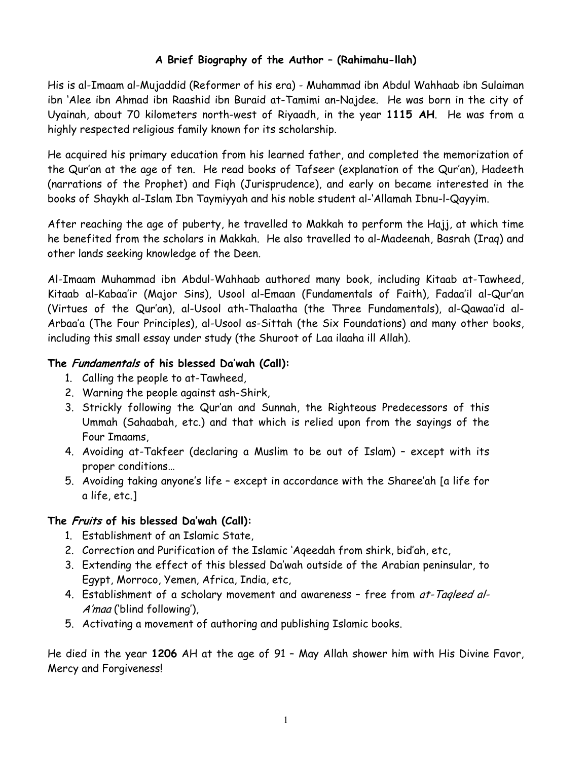# **A Brief Biography of the Author – (Rahimahu-llah)**

His is al-Imaam al-Mujaddid (Reformer of his era) - Muhammad ibn Abdul Wahhaab ibn Sulaiman ibn 'Alee ibn Ahmad ibn Raashid ibn Buraid at-Tamimi an-Najdee. He was born in the city of Uyainah, about 70 kilometers north-west of Riyaadh, in the year **1115 AH**. He was from a highly respected religious family known for its scholarship.

He acquired his primary education from his learned father, and completed the memorization of the Qur'an at the age of ten. He read books of Tafseer (explanation of the Qur'an), Hadeeth (narrations of the Prophet) and Fiqh (Jurisprudence), and early on became interested in the books of Shaykh al-Islam Ibn Taymiyyah and his noble student al-'Allamah Ibnu-l-Qayyim.

After reaching the age of puberty, he travelled to Makkah to perform the Hajj, at which time he benefited from the scholars in Makkah. He also travelled to al-Madeenah, Basrah (Iraq) and other lands seeking knowledge of the Deen.

Al-Imaam Muhammad ibn Abdul-Wahhaab authored many book, including Kitaab at-Tawheed, Kitaab al-Kabaa'ir (Major Sins), Usool al-Emaan (Fundamentals of Faith), Fadaa'il al-Qur'an (Virtues of the Qur'an), al-Usool ath-Thalaatha (the Three Fundamentals), al-Qawaa'id al-Arbaa'a (The Four Principles), al-Usool as-Sittah (the Six Foundations) and many other books, including this small essay under study (the Shuroot of Laa ilaaha ill Allah).

# **The Fundamentals of his blessed Da'wah (Call):**

- 1. Calling the people to at-Tawheed,
- 2. Warning the people against ash-Shirk,
- 3. Strickly following the Qur'an and Sunnah, the Righteous Predecessors of this Ummah (Sahaabah, etc.) and that which is relied upon from the sayings of the Four Imaams,
- 4. Avoiding at-Takfeer (declaring a Muslim to be out of Islam) except with its proper conditions…
- 5. Avoiding taking anyone's life except in accordance with the Sharee'ah [a life for a life, etc.]

# **The Fruits of his blessed Da'wah (Call):**

- 1. Establishment of an Islamic State,
- 2. Correction and Purification of the Islamic 'Aqeedah from shirk, bid'ah, etc,
- 3. Extending the effect of this blessed Da'wah outside of the Arabian peninsular, to Egypt, Morroco, Yemen, Africa, India, etc,
- 4. Establishment of a scholary movement and awareness free from at-Tagleed al-A'maa ('blind following'),
- 5. Activating a movement of authoring and publishing Islamic books.

He died in the year **1206** AH at the age of 91 – May Allah shower him with His Divine Favor, Mercy and Forgiveness!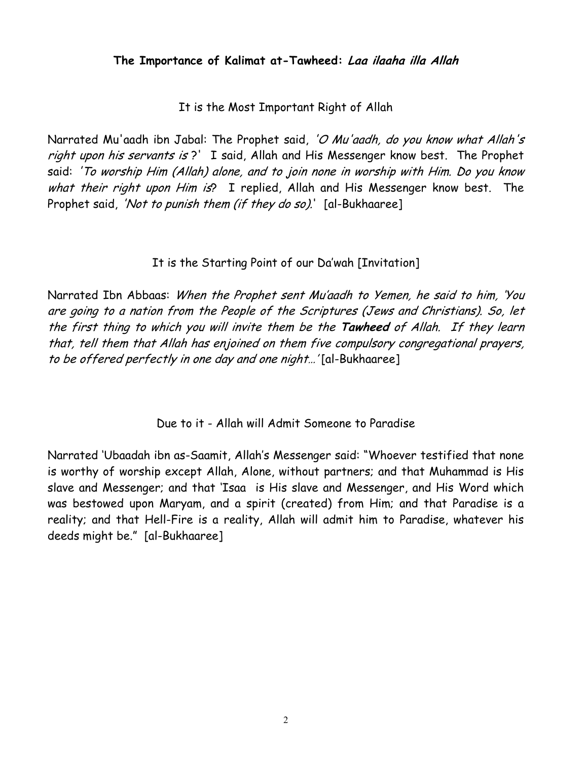# **The Importance of Kalimat at-Tawheed: Laa ilaaha illa Allah**

It is the Most Important Right of Allah

Narrated Mu'aadh ibn Jabal: The Prophet said, 'O Mu'aadh, do you know what Allah's right upon his servants is?' I said, Allah and His Messenger know best. The Prophet said: 'To worship Him (Allah) alone, and to join none in worship with Him. Do you know what their right upon Him is? I replied, Allah and His Messenger know best. The Prophet said, 'Not to punish them (if they do so).' [al-Bukhaaree]

# It is the Starting Point of our Da'wah [Invitation]

Narrated Ibn Abbaas: *When the Prophet sent Mu'aadh to Yemen, he said to him, 'You* the first thing to which you will invite them be the **Tawheed** of Allah. If they learn are going to a nation from the People of the Scriptures (Jews and Christians). So, let that, tell them that Allah has enjoined on them five compulsory congregational prayers, to be offered perfectly in one day and one night…' [al-Bukhaaree]

Due to it - Allah will Admit Someone to Paradise

Narrated 'Ubaadah ibn as-Saamit, Allah's Messenger said: "Whoever testified that none is worthy of worship except Allah, Alone, without partners; and that Muhammad is His slave and Messenger; and that 'Isaa is His slave and Messenger, and His Word which was bestowed upon Maryam, and a spirit (created) from Him; and that Paradise is a reality; and that Hell-Fire is a reality, Allah will admit him to Paradise, whatever his deeds might be." [al-Bukhaaree]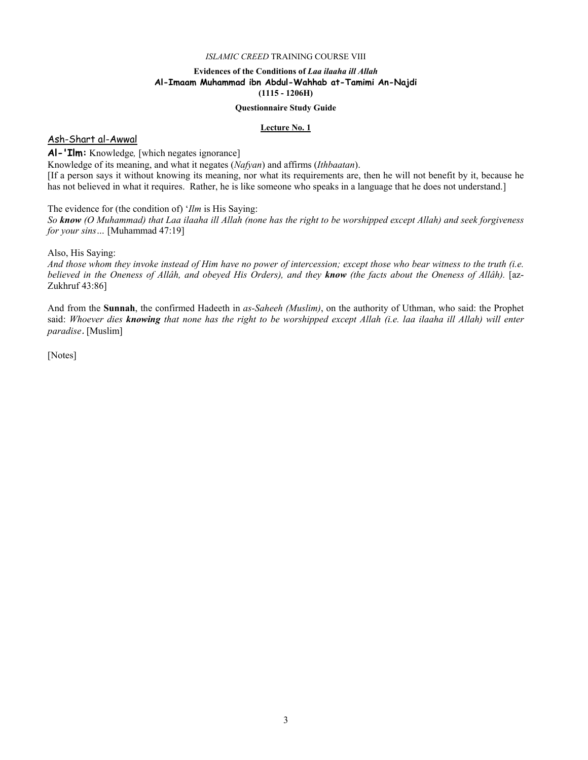# **Evidences of the Conditions of** *Laa ilaaha ill Allah*  **Al-Imaam Muhammad ibn Abdul-Wahhab at-Tamimi An-Najdi (1115 - 1206H)**

#### **Questionnaire Study Guide**

#### **Lecture No. 1**

# Ash-Shart al-Awwal

# **Al-'Ilm:** Knowledge*,* [which negates ignorance]

Knowledge of its meaning, and what it negates (*Nafyan*) and affirms (*Ithbaatan*). [If a person says it without knowing its meaning, nor what its requirements are, then he will not benefit by it, because he has not believed in what it requires. Rather, he is like someone who speaks in a language that he does not understand.]

The evidence for (the condition of) '*Ilm* is His Saying:

*So know (O Muhammad) that Laa ilaaha ill Allah (none has the right to be worshipped except Allah) and seek forgiveness for your sins…* [Muhammad 47:19]

Also, His Saying:

*And those whom they invoke instead of Him have no power of intercession; except those who bear witness to the truth (i.e. believed in the Oneness of Allâh, and obeyed His Orders), and they know (the facts about the Oneness of Allâh).* [az-Zukhruf 43:86]

And from the **Sunnah**, the confirmed Hadeeth in *as-Saheeh (Muslim)*, on the authority of Uthman, who said: the Prophet said: *Whoever dies knowing that none has the right to be worshipped except Allah (i.e. laa ilaaha ill Allah) will enter paradise*. [Muslim]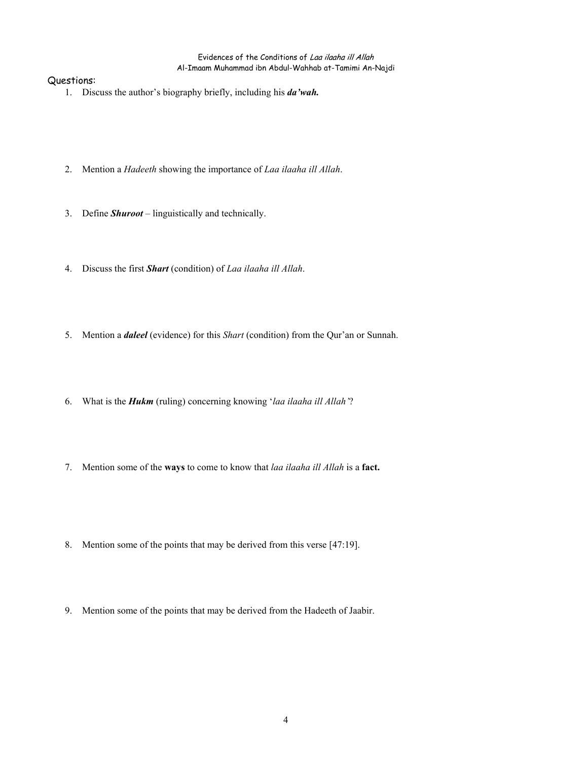- 1. Discuss the author's biography briefly, including his *da'wah.*
- 2. Mention a *Hadeeth* showing the importance of *Laa ilaaha ill Allah*.
- 3. Define *Shuroot* linguistically and technically.
- 4. Discuss the first *Shart* (condition) of *Laa ilaaha ill Allah*.
- 5. Mention a *daleel* (evidence) for this *Shart* (condition) from the Qur'an or Sunnah.
- 6. What is the *Hukm* (ruling) concerning knowing '*laa ilaaha ill Allah'*?
- 7. Mention some of the **ways** to come to know that *laa ilaaha ill Allah* is a **fact.**
- 8. Mention some of the points that may be derived from this verse [47:19].
- 9. Mention some of the points that may be derived from the Hadeeth of Jaabir.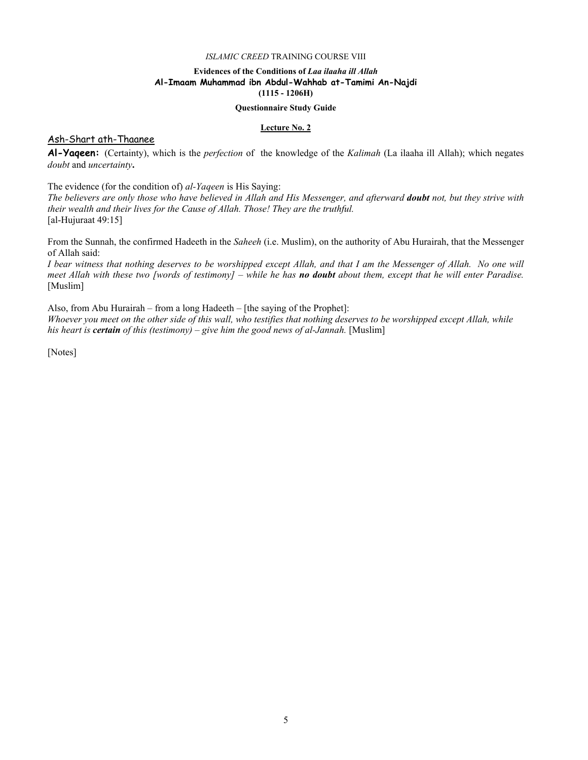## **Evidences of the Conditions of** *Laa ilaaha ill Allah*  **Al-Imaam Muhammad ibn Abdul-Wahhab at-Tamimi An-Najdi (1115 - 1206H)**

#### **Questionnaire Study Guide**

#### **Lecture No. 2**

## Ash-Shart ath-Thaanee

**Al-Yaqeen:** (Certainty), which is the *perfection* of the knowledge of the *Kalimah* (La ilaaha ill Allah); which negates *doubt* and *uncertainty***.** 

The evidence (for the condition of) *al-Yaqeen* is His Saying:

*The believers are only those who have believed in Allah and His Messenger, and afterward doubt not, but they strive with their wealth and their lives for the Cause of Allah. Those! They are the truthful.* [al-Hujuraat 49:15]

From the Sunnah, the confirmed Hadeeth in the *Saheeh* (i.e. Muslim), on the authority of Abu Hurairah, that the Messenger of Allah said:

*I bear witness that nothing deserves to be worshipped except Allah, and that I am the Messenger of Allah. No one will meet Allah with these two [words of testimony] – while he has no doubt about them, except that he will enter Paradise.*  [Muslim]

Also, from Abu Hurairah – from a long Hadeeth – [the saying of the Prophet]:

*Whoever you meet on the other side of this wall, who testifies that nothing deserves to be worshipped except Allah, while his heart is certain of this (testimony) – give him the good news of al-Jannah.* [Muslim]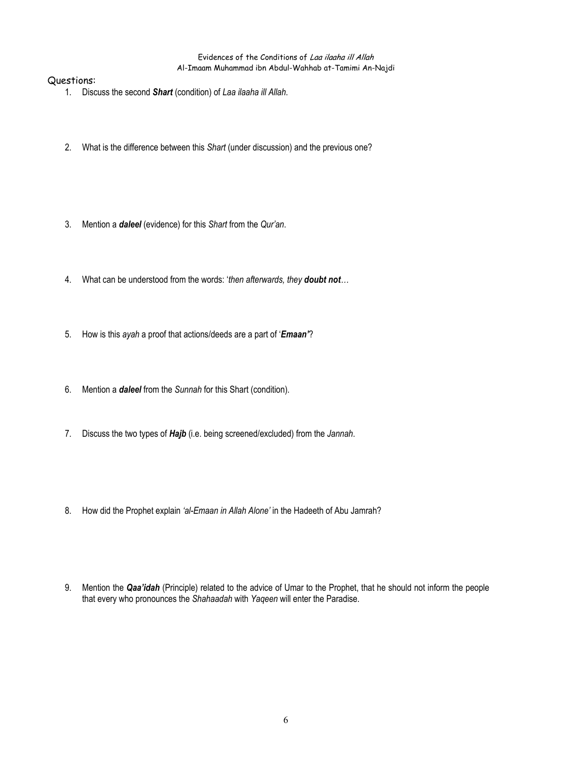- 1. Discuss the second *Shart* (condition) of *Laa ilaaha ill Allah*.
- 2. What is the difference between this *Shart* (under discussion) and the previous one?
- 3. Mention a *daleel* (evidence) for this *Shart* from the *Qur'an*.
- 4. What can be understood from the words: '*then afterwards, they doubt not…*
- 5. How is this *ayah* a proof that actions/deeds are a part of '*Emaan'*?
- 6. Mention a *daleel* from the *Sunnah* for this Shart (condition).
- 7. Discuss the two types of *Hajb* (i.e. being screened/excluded) from the *Jannah*.
- 8. How did the Prophet explain *'al-Emaan in Allah Alone'* in the Hadeeth of Abu Jamrah?
- 9. Mention the *Qaa'idah* (Principle) related to the advice of Umar to the Prophet, that he should not inform the people that every who pronounces the *Shahaadah* with *Yaqeen* will enter the Paradise.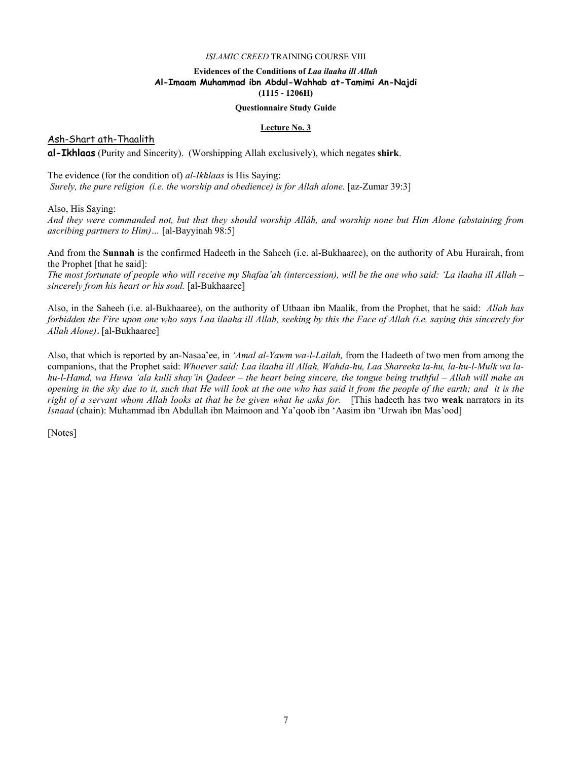## **Evidences of the Conditions of** *Laa ilaaha ill Allah*  **Al-Imaam Muhammad ibn Abdul-Wahhab at-Tamimi An-Najdi (1115 - 1206H)**

#### **Questionnaire Study Guide**

#### **Lecture No. 3**

Ash-Shart ath-Thaalith

**al-Ikhlaas** (Purity and Sincerity). (Worshipping Allah exclusively), which negates **shirk**.

The evidence (for the condition of) *al-Ikhlaas* is His Saying: *Surely, the pure religion (i.e. the worship and obedience) is for Allah alone.* [az-Zumar 39:3]

Also, His Saying:

*And they were commanded not, but that they should worship Allâh, and worship none but Him Alone (abstaining from ascribing partners to Him)…* [al-Bayyinah 98:5]

And from the **Sunnah** is the confirmed Hadeeth in the Saheeh (i.e. al-Bukhaaree), on the authority of Abu Hurairah, from the Prophet [that he said]:

*The most fortunate of people who will receive my Shafaa'ah (intercession), will be the one who said: 'La ilaaha ill Allah – sincerely from his heart or his soul.* [al-Bukhaaree]

Also, in the Saheeh (i.e. al-Bukhaaree), on the authority of Utbaan ibn Maalik, from the Prophet, that he said: *Allah has forbidden the Fire upon one who says Laa ilaaha ill Allah, seeking by this the Face of Allah (i.e. saying this sincerely for Allah Alone)*. [al-Bukhaaree]

Also, that which is reported by an-Nasaa'ee, in *'Amal al-Yawm wa-l-Lailah,* from the Hadeeth of two men from among the companions, that the Prophet said: *Whoever said: Laa ilaaha ill Allah, Wahda-hu, Laa Shareeka la-hu, la-hu-l-Mulk wa lahu-l-Hamd, wa Huwa 'ala kulli shay'in Qadeer – the heart being sincere, the tongue being truthful – Allah will make an opening in the sky due to it, such that He will look at the one who has said it from the people of the earth; and it is the right of a servant whom Allah looks at that he be given what he asks for.* [This hadeeth has two **weak** narrators in its *Isnaad* (chain): Muhammad ibn Abdullah ibn Maimoon and Ya'qoob ibn 'Aasim ibn 'Urwah ibn Mas'ood]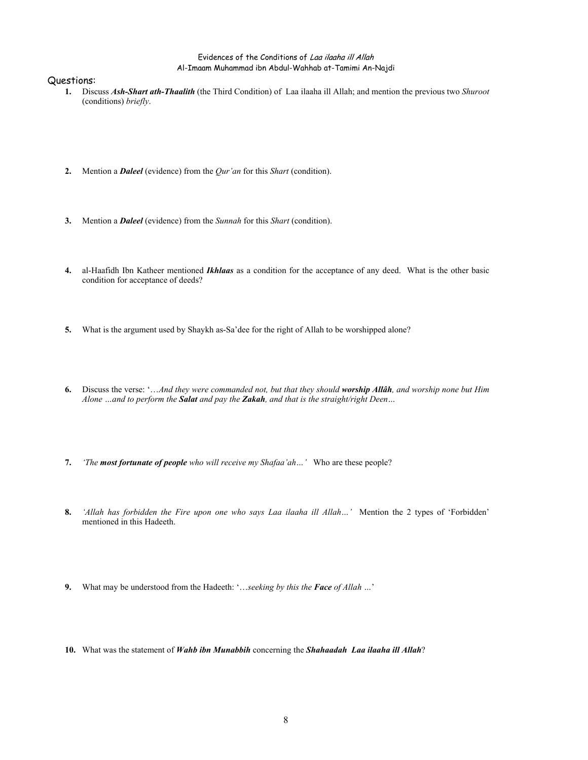- **1.** Discuss *Ash-Shart ath-Thaalith* (the Third Condition) of Laa ilaaha ill Allah; and mention the previous two *Shuroot* (conditions) *briefly*.
- **2.** Mention a *Daleel* (evidence) from the *Qur'an* for this *Shart* (condition).
- **3.** Mention a *Daleel* (evidence) from the *Sunnah* for this *Shart* (condition).
- **4.** al-Haafidh Ibn Katheer mentioned *Ikhlaas* as a condition for the acceptance of any deed. What is the other basic condition for acceptance of deeds?
- **5.** What is the argument used by Shaykh as-Sa'dee for the right of Allah to be worshipped alone?
- **6.** Discuss the verse: '…*And they were commanded not, but that they should worship Allâh, and worship none but Him Alone …and to perform the Salat and pay the Zakah, and that is the straight/right Deen…*
- **7.** *'The most fortunate of people who will receive my Shafaa'ah…'* Who are these people?
- **8.** *'Allah has forbidden the Fire upon one who says Laa ilaaha ill Allah…'* Mention the 2 types of 'Forbidden' mentioned in this Hadeeth.
- **9.** What may be understood from the Hadeeth: '…*seeking by this the Face of Allah …*'
- **10.** What was the statement of *Wahb ibn Munabbih* concerning the *Shahaadah Laa ilaaha ill Allah*?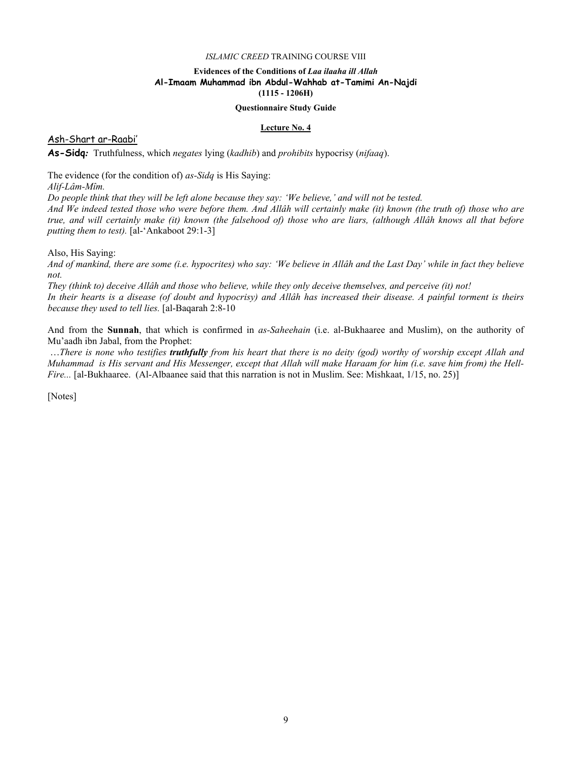# **Evidences of the Conditions of** *Laa ilaaha ill Allah*  **Al-Imaam Muhammad ibn Abdul-Wahhab at-Tamimi An-Najdi (1115 - 1206H)**

#### **Questionnaire Study Guide**

#### **Lecture No. 4**

Ash-Shart ar-Raabi'

**As-Sidq***:* Truthfulness, which *negates* lying (*kadhib*) and *prohibits* hypocrisy (*nifaaq*).

The evidence (for the condition of) *as-Sidq* is His Saying:

*Alif-Lâm-Mîm.* 

*Do people think that they will be left alone because they say: 'We believe,' and will not be tested.* 

*And We indeed tested those who were before them. And Allâh will certainly make (it) known (the truth of) those who are true, and will certainly make (it) known (the falsehood of) those who are liars, (although Allâh knows all that before putting them to test).* [al-'Ankaboot 29:1-3]

Also, His Saying:

*And of mankind, there are some (i.e. hypocrites) who say: 'We believe in Allâh and the Last Day' while in fact they believe not.* 

*They (think to) deceive Allâh and those who believe, while they only deceive themselves, and perceive (it) not! In their hearts is a disease (of doubt and hypocrisy) and Allâh has increased their disease. A painful torment is theirs because they used to tell lies.* [al-Baqarah 2:8-10

And from the **Sunnah**, that which is confirmed in *as-Saheehain* (i.e. al-Bukhaaree and Muslim), on the authority of Mu'aadh ibn Jabal, from the Prophet:

 …*There is none who testifies truthfully from his heart that there is no deity (god) worthy of worship except Allah and Muhammad is His servant and His Messenger, except that Allah will make Haraam for him (i.e. save him from) the Hell-Fire...* [al-Bukhaaree. (Al-Albaanee said that this narration is not in Muslim. See: Mishkaat, 1/15, no. 25)]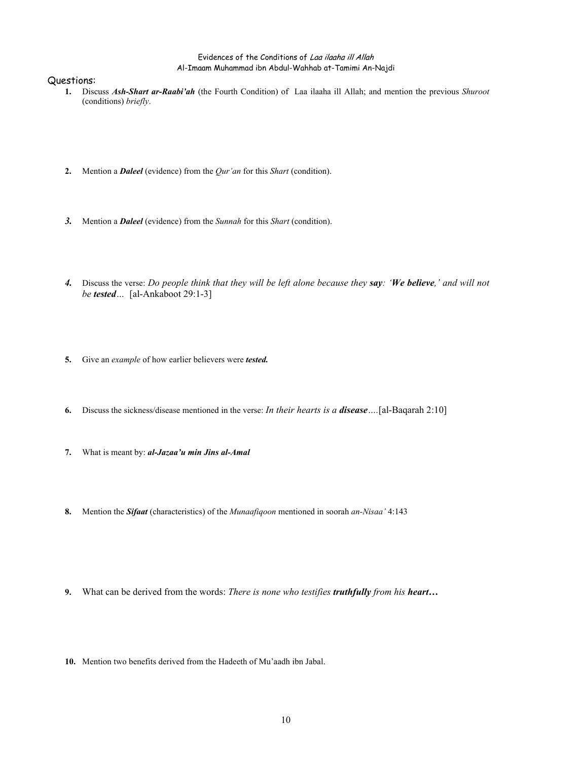- **1.** Discuss *Ash-Shart ar-Raabi'ah* (the Fourth Condition) of Laa ilaaha ill Allah; and mention the previous *Shuroot* (conditions) *briefly*.
- **2.** Mention a *Daleel* (evidence) from the *Qur'an* for this *Shart* (condition).
- *3.* Mention a *Daleel* (evidence) from the *Sunnah* for this *Shart* (condition).
- *4.* Discuss the verse: *Do people think that they will be left alone because they say: 'We believe,' and will not be tested…* [al-Ankaboot 29:1-3]
- **5.** Give an *example* of how earlier believers were *tested.*
- **6.** Discuss the sickness/disease mentioned in the verse: *In their hearts is a disease….*[al-Baqarah 2:10]
- **7.** What is meant by: *al-Jazaa'u min Jins al-Amal*
- **8.** Mention the *Sifaat* (characteristics) of the *Munaafiqoon* mentioned in soorah *an-Nisaa'* 4:143
- **9.** What can be derived from the words: *There is none who testifies truthfully from his heart…*
- **10.** Mention two benefits derived from the Hadeeth of Mu'aadh ibn Jabal.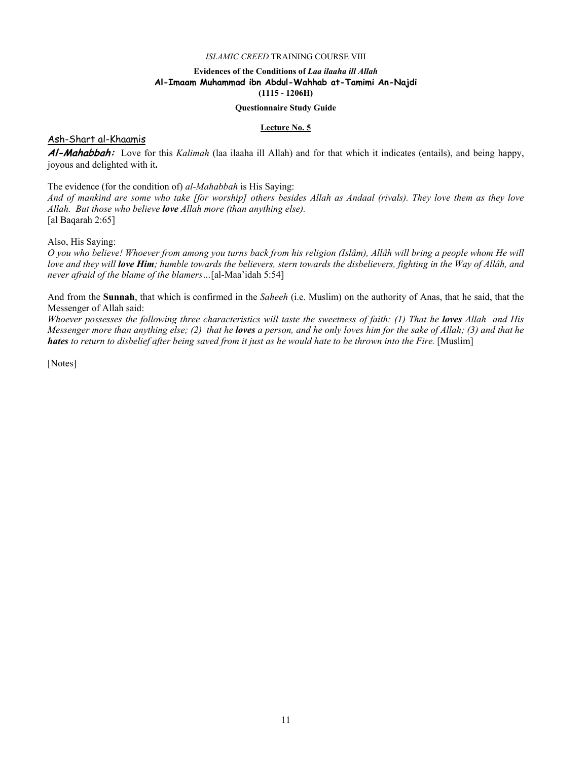## **Evidences of the Conditions of** *Laa ilaaha ill Allah*  **Al-Imaam Muhammad ibn Abdul-Wahhab at-Tamimi An-Najdi (1115 - 1206H)**

#### **Questionnaire Study Guide**

#### **Lecture No. 5**

### Ash-Shart al-Khaamis

**Al-Mahabbah:** Love for this *Kalimah* (laa ilaaha ill Allah) and for that which it indicates (entails), and being happy, joyous and delighted with it**.**

The evidence (for the condition of) *al-Mahabbah* is His Saying:

*And of mankind are some who take [for worship] others besides Allah as Andaal (rivals). They love them as they love Allah. But those who believe love Allah more (than anything else).* [al Baqarah 2:65]

Also, His Saying:

*O you who believe! Whoever from among you turns back from his religion (Islâm), Allâh will bring a people whom He will love and they will love Him; humble towards the believers, stern towards the disbelievers, fighting in the Way of Allâh, and never afraid of the blame of the blamers…*[al-Maa'idah 5:54]

And from the **Sunnah**, that which is confirmed in the *Saheeh* (i.e. Muslim) on the authority of Anas, that he said, that the Messenger of Allah said:

*Whoever possesses the following three characteristics will taste the sweetness of faith: (1) That he loves Allah and His Messenger more than anything else; (2) that he loves a person, and he only loves him for the sake of Allah; (3) and that he hates to return to disbelief after being saved from it just as he would hate to be thrown into the Fire.* [Muslim]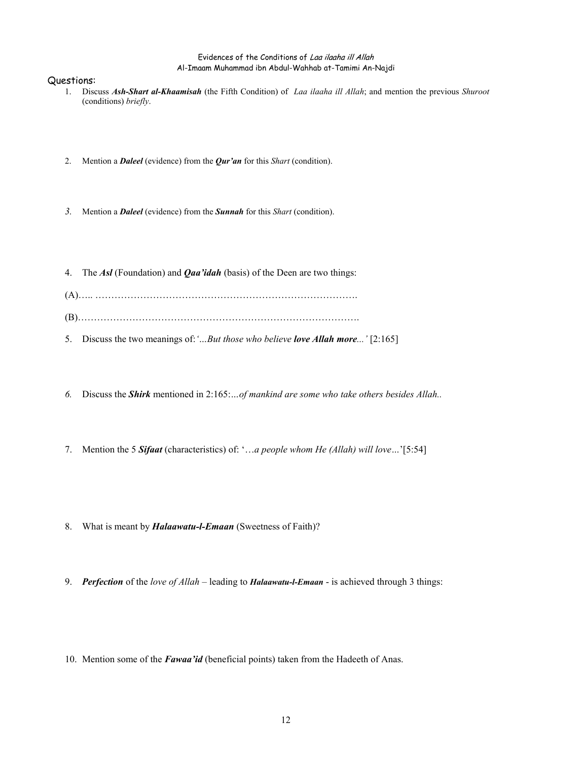- 1. Discuss *Ash-Shart al-Khaamisah* (the Fifth Condition) of *Laa ilaaha ill Allah*; and mention the previous *Shuroot* (conditions) *briefly*.
- 2. Mention a *Daleel* (evidence) from the *Qur'an* for this *Shart* (condition).
- *3.* Mention a *Daleel* (evidence) from the *Sunnah* for this *Shart* (condition).
- 4. The *Asl* (Foundation) and *Qaa'idah* (basis) of the Deen are two things:
- (A)….. ……………………………………………………………………….
- (B)…………………………………………………………………………….
- 5. Discuss the two meanings of:*'…But those who believe love Allah more...'* [2:165]
- *6.* Discuss the *Shirk* mentioned in 2:165:*…of mankind are some who take others besides Allah..*
- 7. Mention the 5 *Sifaat* (characteristics) of: '…*a people whom He (Allah) will love…*'[5:54]
- 8. What is meant by *Halaawatu-l-Emaan* (Sweetness of Faith)?
- 9. *Perfection* of the *love of Allah* leading to *Halaawatu-l-Emaan* is achieved through 3 things:
- 10. Mention some of the *Fawaa'id* (beneficial points) taken from the Hadeeth of Anas.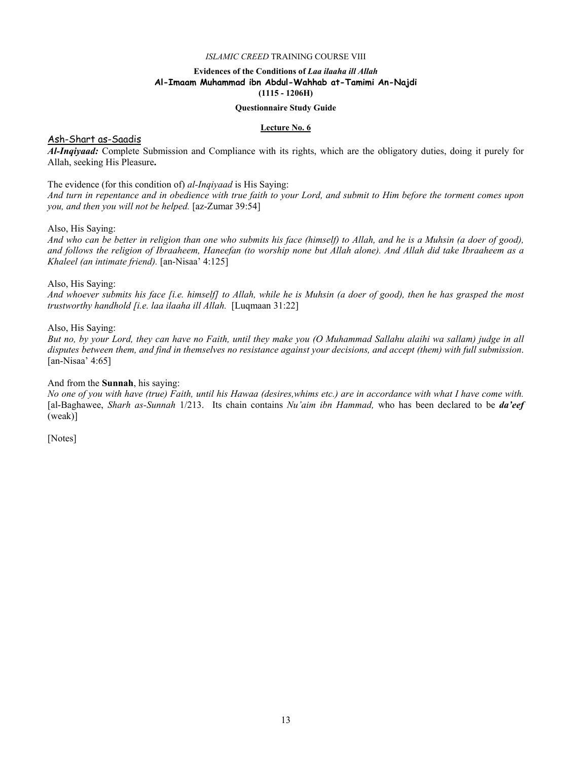## **Evidences of the Conditions of** *Laa ilaaha ill Allah*  **Al-Imaam Muhammad ibn Abdul-Wahhab at-Tamimi An-Najdi (1115 - 1206H)**

#### **Questionnaire Study Guide**

#### **Lecture No. 6**

## Ash-Shart as-Saadis

*Al-Inqiyaad:* Complete Submission and Compliance with its rights, which are the obligatory duties, doing it purely for Allah, seeking His Pleasure**.** 

The evidence (for this condition of) *al-Inqiyaad* is His Saying:

*And turn in repentance and in obedience with true faith to your Lord, and submit to Him before the torment comes upon you, and then you will not be helped.* [az-Zumar 39:54]

Also, His Saying:

*And who can be better in religion than one who submits his face (himself) to Allah, and he is a Muhsin (a doer of good), and follows the religion of Ibraaheem, Haneefan (to worship none but Allah alone). And Allah did take Ibraaheem as a Khaleel (an intimate friend).* [an-Nisaa' 4:125]

#### Also, His Saying:

*And whoever submits his face [i.e. himself] to Allah, while he is Muhsin (a doer of good), then he has grasped the most trustworthy handhold [i.e. laa ilaaha ill Allah.* [Luqmaan 31:22]

Also, His Saying:

*But no, by your Lord, they can have no Faith, until they make you (O Muhammad Sallahu alaihi wa sallam) judge in all disputes between them, and find in themselves no resistance against your decisions, and accept (them) with full submission*. [an-Nisaa' 4:65]

#### And from the **Sunnah**, his saying:

*No one of you with have (true) Faith, until his Hawaa (desires,whims etc.) are in accordance with what I have come with.*  [al-Baghawee, *Sharh as-Sunnah* 1/213. Its chain contains *Nu'aim ibn Hammad,* who has been declared to be *da'eef* (weak)]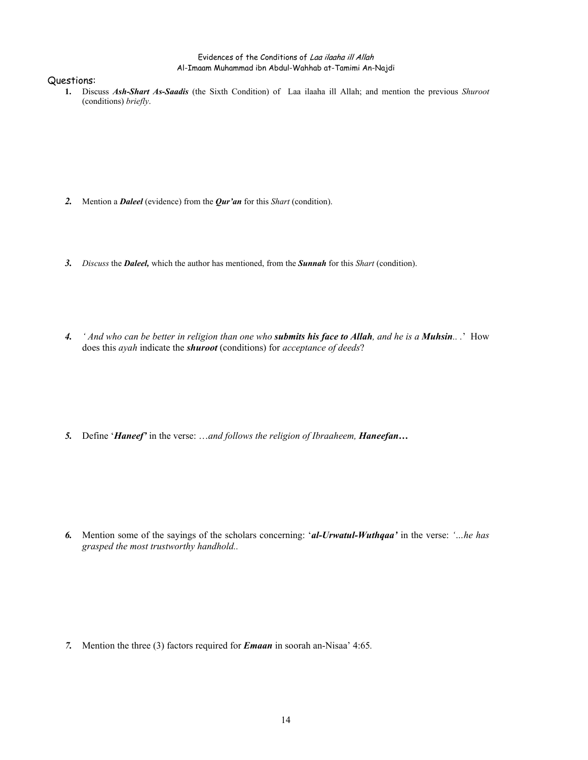#### Questions:

**1.** Discuss *Ash-Shart As-Saadis* (the Sixth Condition) of Laa ilaaha ill Allah; and mention the previous *Shuroot* (conditions) *briefly*.

- *2.* Mention a *Daleel* (evidence) from the *Qur'an* for this *Shart* (condition).
- *3. Discuss* the *Daleel,* which the author has mentioned, from the *Sunnah* for this *Shart* (condition).
- *4. ' And who can be better in religion than one who submits his face to Allah, and he is a Muhsin.. .*' How does this *ayah* indicate the *shuroot* (conditions) for *acceptance of deeds*?

5. Define '*Haneef*' in the verse: ...and follows the religion of Ibraaheem, *Haneefan*...

*6.* Mention some of the sayings of the scholars concerning: '*al-Urwatul-Wuthqaa'* in the verse: *'…he has grasped the most trustworthy handhold..* 

*7.* Mention the three (3) factors required for *Emaan* in soorah an-Nisaa' 4:65*.*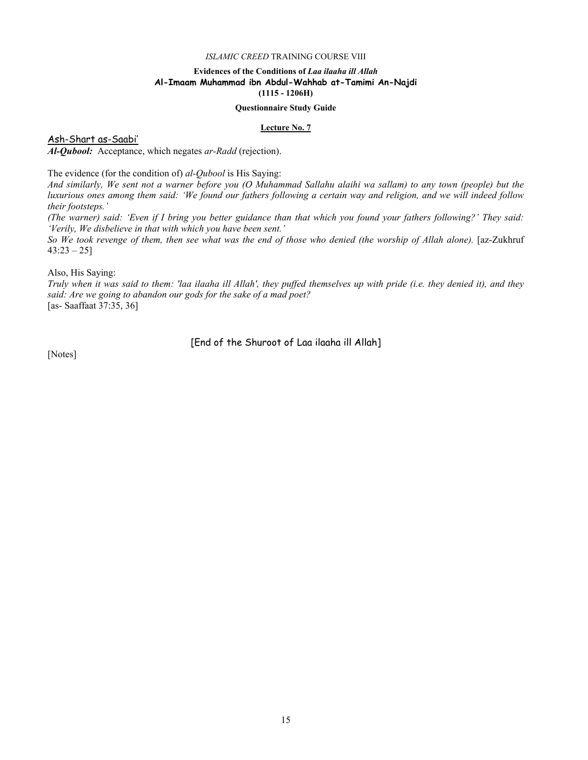# **Evidences of the Conditions of** *Laa ilaaha ill Allah*  **Al-Imaam Muhammad ibn Abdul-Wahhab at-Tamimi An-Najdi (1115 - 1206H)**

#### **Questionnaire Study Guide**

#### **Lecture No. 7**

Ash-Shart as-Saabi'

*Al-Qubool:* Acceptance, which negates *ar-Radd* (rejection).

The evidence (for the condition of) *al-Qubool* is His Saying:

*And similarly, We sent not a warner before you (O Muhammad Sallahu alaihi wa sallam) to any town (people) but the luxurious ones among them said: 'We found our fathers following a certain way and religion, and we will indeed follow their footsteps.'* 

*(The warner) said: 'Even if I bring you better guidance than that which you found your fathers following?' They said: 'Verily, We disbelieve in that with which you have been sent.'* 

*So We took revenge of them, then see what was the end of those who denied (the worship of Allah alone).* [az-Zukhruf  $43:23 - 25$ ]

Also, His Saying:

*Truly when it was said to them: 'laa ilaaha ill Allah', they puffed themselves up with pride (i.e. they denied it), and they said: Are we going to abandon our gods for the sake of a mad poet?*  [as- Saaffaat 37:35, 36]

[End of the Shuroot of Laa ilaaha ill Allah]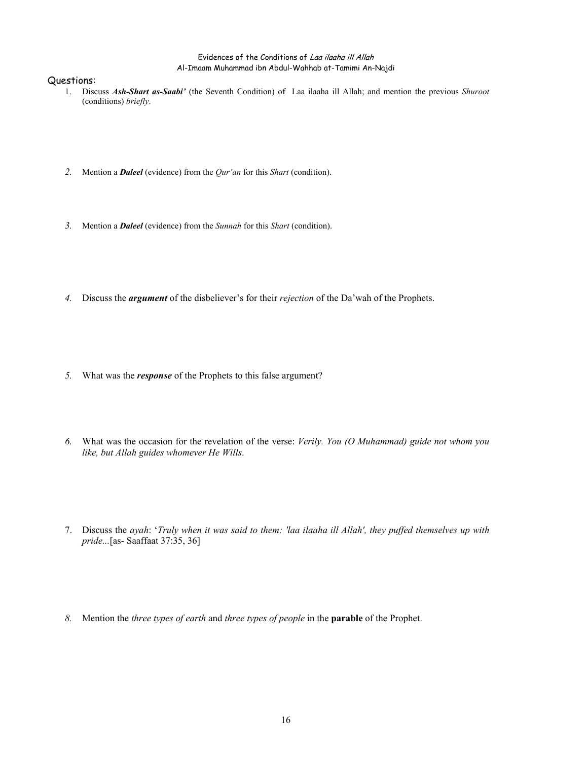- 1. Discuss *Ash-Shart as-Saabi'* (the Seventh Condition) of Laa ilaaha ill Allah; and mention the previous *Shuroot* (conditions) *briefly*.
- *2.* Mention a *Daleel* (evidence) from the *Qur'an* for this *Shart* (condition).
- *3.* Mention a *Daleel* (evidence) from the *Sunnah* for this *Shart* (condition).
- *4.* Discuss the *argument* of the disbeliever's for their *rejection* of the Da'wah of the Prophets.
- *5.* What was the *response* of the Prophets to this false argument?
- *6.* What was the occasion for the revelation of the verse: *Verily. You (O Muhammad) guide not whom you like, but Allah guides whomever He Wills*.
- 7. Discuss the *ayah*: '*Truly when it was said to them: 'laa ilaaha ill Allah', they puffed themselves up with pride...*[as- Saaffaat 37:35, 36]
- *8.* Mention the *three types of earth* and *three types of people* in the **parable** of the Prophet.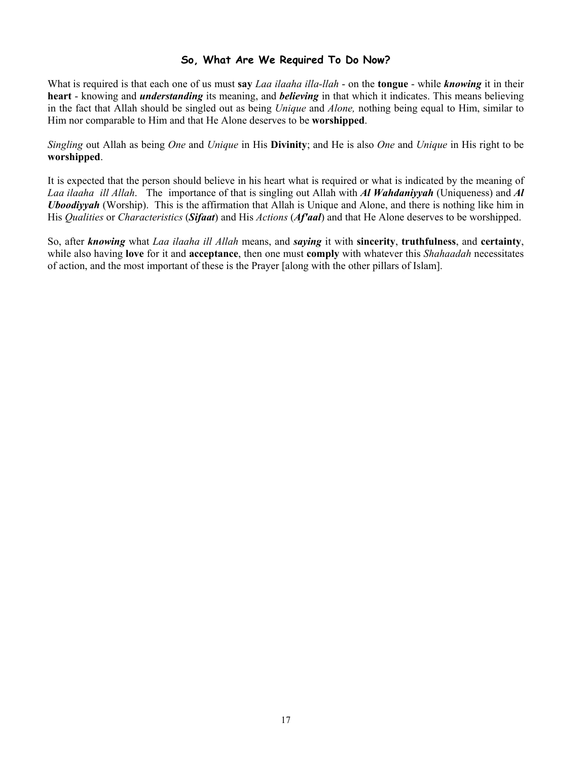# **So, What Are We Required To Do Now?**

What is required is that each one of us must **say** *Laa ilaaha illa-llah* - on the **tongue** - while *knowing* it in their **heart** - knowing and *understanding* its meaning, and *believing* in that which it indicates. This means believing in the fact that Allah should be singled out as being *Unique* and *Alone,* nothing being equal to Him, similar to Him nor comparable to Him and that He Alone deserves to be **worshipped**.

*Singling* out Allah as being *One* and *Unique* in His **Divinity**; and He is also *One* and *Unique* in His right to be **worshipped**.

It is expected that the person should believe in his heart what is required or what is indicated by the meaning of *Laa ilaaha ill Allah*. The importance of that is singling out Allah with *Al Wahdaniyyah* (Uniqueness) and *Al Uboodiyyah* (Worship). This is the affirmation that Allah is Unique and Alone, and there is nothing like him in His *Qualities* or *Characteristics* (*Sifaat*) and His *Actions* (*Af'aal*) and that He Alone deserves to be worshipped.

So, after *knowing* what *Laa ilaaha ill Allah* means, and *saying* it with **sincerity**, **truthfulness**, and **certainty**, while also having **love** for it and **acceptance**, then one must **comply** with whatever this *Shahaadah* necessitates of action, and the most important of these is the Prayer [along with the other pillars of Islam].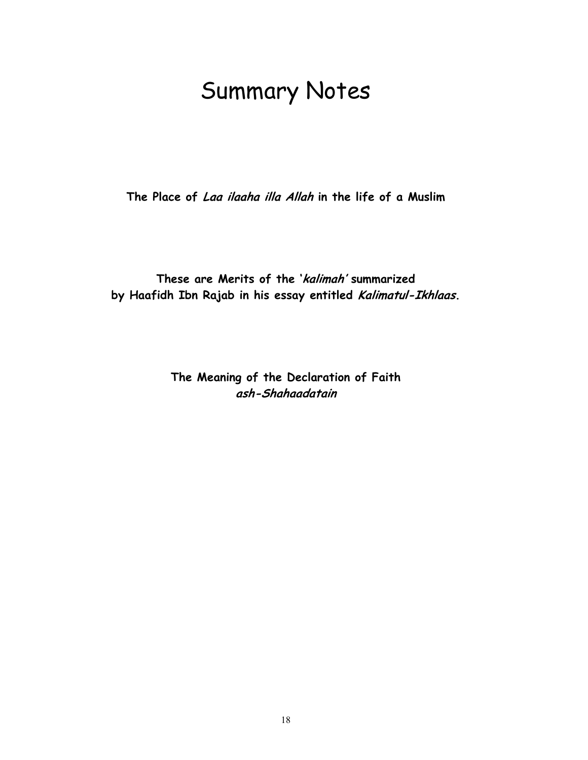# Summary Notes

**The Place of Laa ilaaha illa Allah in the life of a Muslim** 

**These are Merits of the 'kalimah' summarized by Haafidh Ibn Rajab in his essay entitled Kalimatul-Ikhlaas.**

> **The Meaning of the Declaration of Faith ash-Shahaadatain**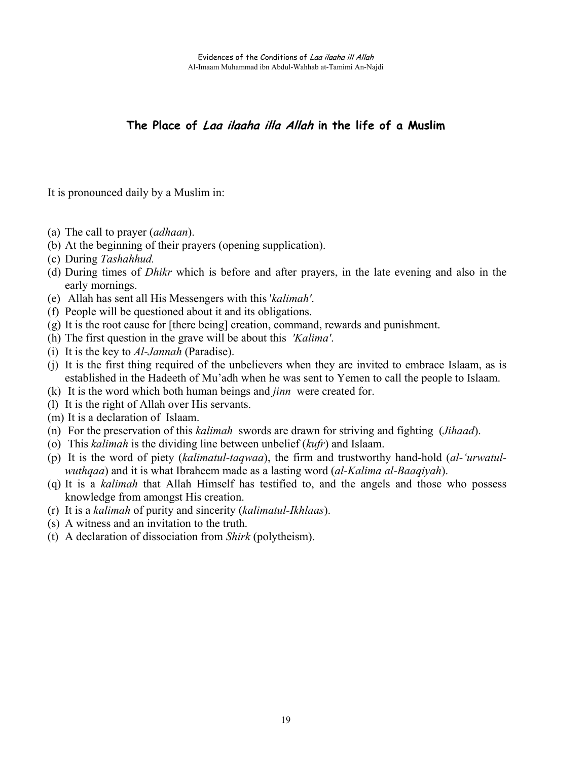# **The Place of Laa ilaaha illa Allah in the life of a Muslim**

It is pronounced daily by a Muslim in:

- (a) The call to prayer (*adhaan*).
- (b) At the beginning of their prayers (opening supplication).
- (c) During *Tashahhud.*
- (d) During times of *Dhikr* which is before and after prayers, in the late evening and also in the early mornings.
- (e) Allah has sent all His Messengers with this '*kalimah'*.
- (f) People will be questioned about it and its obligations.
- (g) It is the root cause for [there being] creation, command, rewards and punishment.
- (h) The first question in the grave will be about this *'Kalima'*.
- (i) It is the key to *Al-Jannah* (Paradise).
- (j) It is the first thing required of the unbelievers when they are invited to embrace Islaam, as is established in the Hadeeth of Mu'adh when he was sent to Yemen to call the people to Islaam.
- (k) It is the word which both human beings and *jinn* were created for.
- (l) It is the right of Allah over His servants.
- (m) It is a declaration of Islaam.
- (n) For the preservation of this *kalimah* swords are drawn for striving and fighting (*Jihaad*).
- (o) This *kalimah* is the dividing line between unbelief (*kufr*) and Islaam.
- (p) It is the word of piety (*kalimatul-taqwaa*), the firm and trustworthy hand-hold (*al-'urwatulwuthqaa*) and it is what Ibraheem made as a lasting word (*al-Kalima al-Baaqiyah*).
- (q) It is a *kalimah* that Allah Himself has testified to, and the angels and those who possess knowledge from amongst His creation.
- (r) It is a *kalimah* of purity and sincerity (*kalimatul-Ikhlaas*).
- (s) A witness and an invitation to the truth.
- (t) A declaration of dissociation from *Shirk* (polytheism).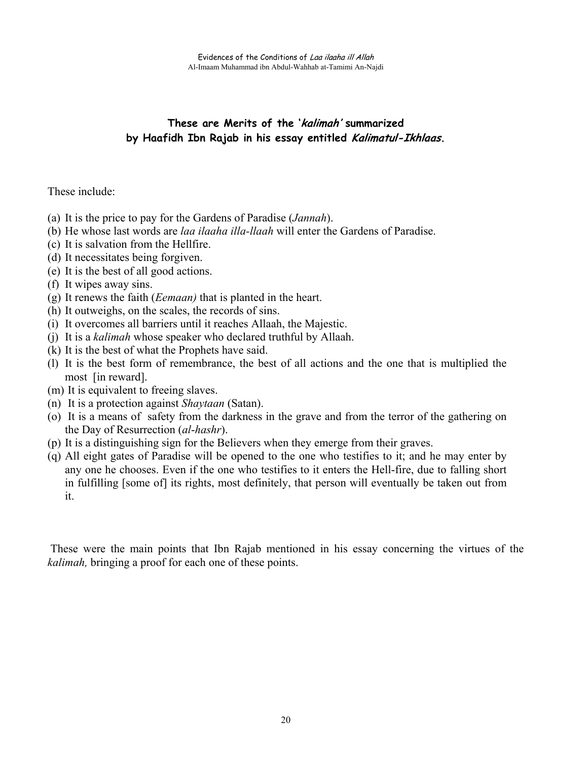# **These are Merits of the 'kalimah' summarized by Haafidh Ibn Rajab in his essay entitled Kalimatul-Ikhlaas.**

# These include:

- (a) It is the price to pay for the Gardens of Paradise (*Jannah*).
- (b) He whose last words are *laa ilaaha illa-llaah* will enter the Gardens of Paradise.
- (c) It is salvation from the Hellfire.
- (d) It necessitates being forgiven.
- (e) It is the best of all good actions.
- (f) It wipes away sins.
- (g) It renews the faith (*Eemaan)* that is planted in the heart.
- (h) It outweighs, on the scales, the records of sins.
- (i) It overcomes all barriers until it reaches Allaah, the Majestic.
- (j) It is a *kalimah* whose speaker who declared truthful by Allaah.
- (k) It is the best of what the Prophets have said.
- (l) It is the best form of remembrance, the best of all actions and the one that is multiplied the most [in reward].
- (m) It is equivalent to freeing slaves.
- (n) It is a protection against *Shaytaan* (Satan).
- (o) It is a means of safety from the darkness in the grave and from the terror of the gathering on the Day of Resurrection (*al*-*hashr*).
- (p) It is a distinguishing sign for the Believers when they emerge from their graves.
- (q) All eight gates of Paradise will be opened to the one who testifies to it; and he may enter by any one he chooses. Even if the one who testifies to it enters the Hell-fire, due to falling short in fulfilling [some of] its rights, most definitely, that person will eventually be taken out from it.

These were the main points that Ibn Rajab mentioned in his essay concerning the virtues of the *kalimah,* bringing a proof for each one of these points.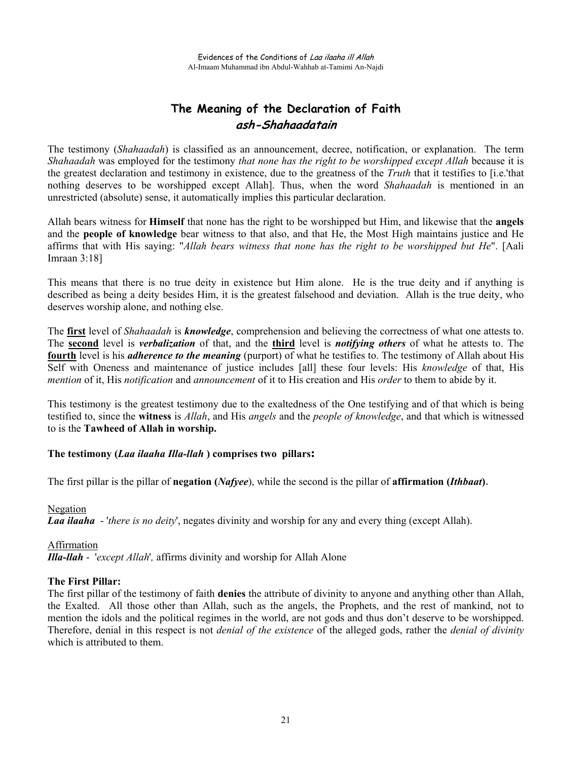# **The Meaning of the Declaration of Faith ash-Shahaadatain**

The testimony (*Shahaadah*) is classified as an announcement, decree, notification, or explanation. The term *Shahaadah* was employed for the testimony *that none has the right to be worshipped except Allah* because it is the greatest declaration and testimony in existence, due to the greatness of the *Truth* that it testifies to [i.e.'that nothing deserves to be worshipped except Allah]. Thus, when the word *Shahaadah* is mentioned in an unrestricted (absolute) sense, it automatically implies this particular declaration.

Allah bears witness for **Himself** that none has the right to be worshipped but Him, and likewise that the **angels** and the **people of knowledge** bear witness to that also, and that He, the Most High maintains justice and He affirms that with His saying: "*Allah bears witness that none has the right to be worshipped but He*". [Aali Imraan 3:18]

This means that there is no true deity in existence but Him alone. He is the true deity and if anything is described as being a deity besides Him, it is the greatest falsehood and deviation. Allah is the true deity, who deserves worship alone, and nothing else.

The **first** level of *Shahaadah* is *knowledge*, comprehension and believing the correctness of what one attests to. The **second** level is *verbalization* of that, and the **third** level is *notifying others* of what he attests to. The **fourth** level is his *adherence to the meaning* (purport) of what he testifies to. The testimony of Allah about His Self with Oneness and maintenance of justice includes [all] these four levels: His *knowledge* of that, His *mention* of it, His *notification* and *announcement* of it to His creation and His *order* to them to abide by it.

This testimony is the greatest testimony due to the exaltedness of the One testifying and of that which is being testified to, since the **witness** is *Allah*, and His *angels* and the *people of knowledge*, and that which is witnessed to is the **Tawheed of Allah in worship.** 

# **The testimony (***Laa ilaaha Illa-llah* **) comprises two pillars:**

The first pillar is the pillar of **negation (***Nafyee*), while the second is the pillar of **affirmation (***Ithbaat***)**.

Negation *Laa ilaaha* - '*there is no deity*', negates divinity and worship for any and every thing (except Allah).

Affirmation *Illa-llah* - '*except Allah*'*,* affirms divinity and worship for Allah Alone

# **The First Pillar:**

The first pillar of the testimony of faith **denies** the attribute of divinity to anyone and anything other than Allah, the Exalted. All those other than Allah, such as the angels, the Prophets, and the rest of mankind, not to mention the idols and the political regimes in the world, are not gods and thus don't deserve to be worshipped. Therefore, denial in this respect is not *denial of the existence* of the alleged gods, rather the *denial of divinity* which is attributed to them.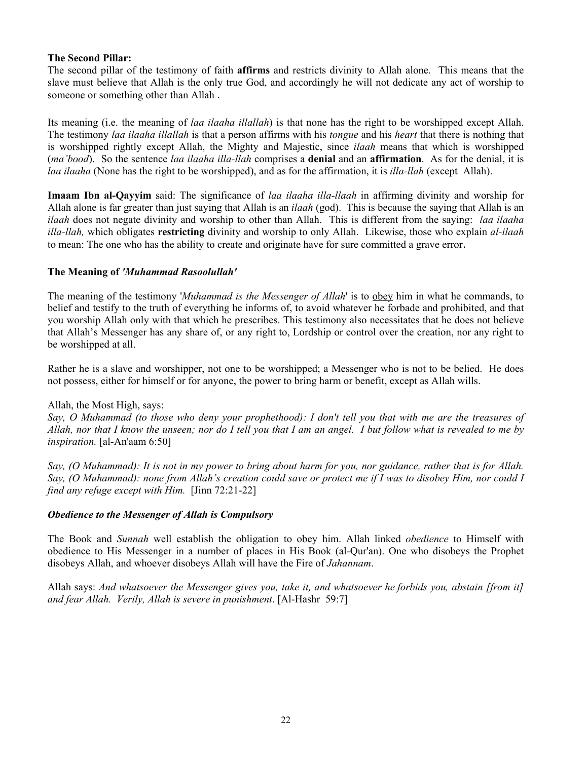# **The Second Pillar:**

The second pillar of the testimony of faith **affirms** and restricts divinity to Allah alone. This means that the slave must believe that Allah is the only true God, and accordingly he will not dedicate any act of worship to someone or something other than Allah .

Its meaning (i.e. the meaning of *laa ilaaha illallah*) is that none has the right to be worshipped except Allah. The testimony *laa ilaaha illallah* is that a person affirms with his *tongue* and his *heart* that there is nothing that is worshipped rightly except Allah, the Mighty and Majestic, since *ilaah* means that which is worshipped (*ma'bood*). So the sentence *laa ilaaha illa-llah* comprises a **denial** and an **affirmation**. As for the denial, it is *laa ilaaha* (None has the right to be worshipped), and as for the affirmation, it is *illa-llah* (except Allah).

**Imaam Ibn al-Qayyim** said: The significance of *laa ilaaha illa-llaah* in affirming divinity and worship for Allah alone is far greater than just saying that Allah is an *ilaah* (god). This is because the saying that Allah is an *ilaah* does not negate divinity and worship to other than Allah. This is different from the saying: *laa ilaaha illa-llah,* which obligates **restricting** divinity and worship to only Allah. Likewise, those who explain *al-ilaah* to mean: The one who has the ability to create and originate have for sure committed a grave error.

# **The Meaning of** *'Muhammad Rasoolullah'*

The meaning of the testimony '*Muhammad is the Messenger of Allah*' is to obey him in what he commands, to belief and testify to the truth of everything he informs of, to avoid whatever he forbade and prohibited, and that you worship Allah only with that which he prescribes. This testimony also necessitates that he does not believe that Allah's Messenger has any share of, or any right to, Lordship or control over the creation, nor any right to be worshipped at all.

Rather he is a slave and worshipper, not one to be worshipped; a Messenger who is not to be belied. He does not possess, either for himself or for anyone, the power to bring harm or benefit, except as Allah wills.

# Allah, the Most High, says:

*Say, O Muhammad (to those who deny your prophethood): I don't tell you that with me are the treasures of Allah, nor that I know the unseen; nor do I tell you that I am an angel. I but follow what is revealed to me by inspiration.* [al-An'aam 6:50]

*Say, (O Muhammad): It is not in my power to bring about harm for you, nor guidance, rather that is for Allah. Say, (O Muhammad): none from Allah's creation could save or protect me if I was to disobey Him, nor could I find any refuge except with Him.* [Jinn 72:21-22]

# *Obedience to the Messenger of Allah is Compulsory*

The Book and *Sunnah* well establish the obligation to obey him. Allah linked *obedience* to Himself with obedience to His Messenger in a number of places in His Book (al-Qur'an). One who disobeys the Prophet disobeys Allah, and whoever disobeys Allah will have the Fire of *Jahannam*.

Allah says: *And whatsoever the Messenger gives you, take it, and whatsoever he forbids you, abstain [from it] and fear Allah. Verily, Allah is severe in punishment*. [Al-Hashr 59:7]